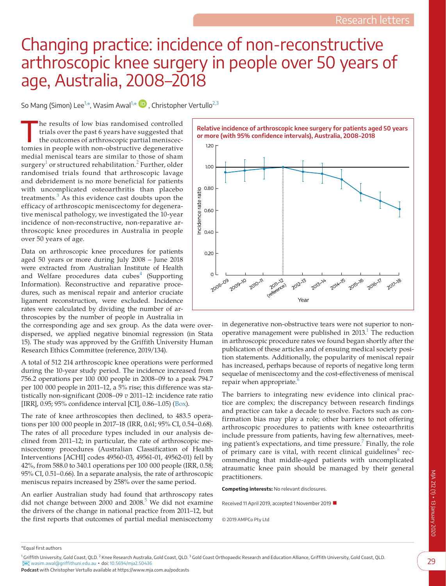## Changing practice: incidence of non-reconstructive arthroscopic knee surgery in people over 50 years of age, Australia, 2008–2018

So Mang (Simon) Lee<sup>[1,\\*](#page-0-0)</sup>, Wasim Awal<sup>1,\*</sup>  $\bullet$ , Christopher Vertullo<sup>[2,3](#page-0-1)</sup>

The results of low bias randomised controlled trials over the past 6 years have suggested that the outcomes of arthroscopic partial meniscectomies in people with non-obstructive degenerative medial meniscal tears are similar to those of sham surgery $^1$  or structured rehabilitation. $^2$  $^2$  Further, older randomised trials found that arthroscopic lavage and debridement is no more beneficial for patients with uncomplicated osteoarthritis than placebo treatments. $3$  As this evidence cast doubts upon the efficacy of arthroscopic meniscectomy for degenerative meniscal pathology, we investigated the 10-year incidence of non-reconstructive, non-reparative arthroscopic knee procedures in Australia in people over 50 years of age.

Data on arthroscopic knee procedures for patients aged 50 years or more during July 2008 – June 2018 were extracted from Australian Institute of Health and Welfare procedures data cubes<sup>[4](#page-1-3)</sup> (Supporting Information). Reconstructive and reparative procedures, such as meniscal repair and anterior cruciate ligament reconstruction, were excluded. Incidence rates were calculated by dividing the number of arthroscopies by the number of people in Australia in

the corresponding age and sex group. As the data were overdispersed, we applied negative binomial regression (in Stata 15). The study was approved by the Griffith University Human Research Ethics Committee (reference, 2019/134).

A total of 512 214 arthroscopic knee operations were performed during the 10-year study period. The incidence increased from 756.2 operations per 100 000 people in 2008–09 to a peak 794.7 per 100 000 people in 2011–12, a 5% rise; this difference was statistically non-significant (2008–09 *v* 2011–12: incidence rate ratio [IRR], 0.95; 95% confidence interval [CI], 0.86–1.05) ([Box](#page-0-2)).

The rate of knee arthroscopies then declined, to 483.5 operations per 100 000 people in 2017–18 (IRR, 0.61; 95% CI, 0.54–0.68). The rates of all procedure types included in our analysis declined from 2011–12; in particular, the rate of arthroscopic meniscectomy procedures (Australian Classification of Health Interventions [ACHI] codes 49560-03, 49561-01, 49562-01) fell by 42%, from 588.0 to 340.1 operations per 100 000 people (IRR, 0.58; 95% CI, 0.51–0.66). In a separate analysis, the rate of arthroscopic meniscus repairs increased by 258% over the same period.

An earlier Australian study had found that arthroscopy rates did not change between  $2000$  and  $2008$ .<sup>[5](#page-1-4)</sup> We did not examine the drivers of the change in national practice from 2011–12, but the first reports that outcomes of partial medial meniscectomy

<span id="page-0-2"></span>

in degenerative non-obstructive tears were not superior to nonoperative management were published in  $2013<sup>1</sup>$  The reduction in arthroscopic procedure rates we found began shortly after the publication of these articles and of ensuing medical society position statements. Additionally, the popularity of meniscal repair has increased, perhaps because of reports of negative long term sequelae of meniscectomy and the cost-effectiveness of meniscal repair when appropriate.

The barriers to integrating new evidence into clinical practice are complex; the discrepancy between research findings and practice can take a decade to resolve. Factors such as confirmation bias may play a role; other barriers to not offering arthroscopic procedures to patients with knee osteoarthritis include pressure from patients, having few alternatives, meet-ing patient's expectations, and time pressure.<sup>[7](#page-1-6)</sup> Finally, the role of primary care is vital, with recent clinical guidelines $8$  recommending that middle-aged patients with uncomplicated atraumatic knee pain should be managed by their general practitioners.

**Competing interests:** No relevant disclosures.

Received 11 April 2019, accepted 1 November 2019 ■

© 2019 AMPCo Pty Ltd

\*Equal first authors

**Podcast** with Christopher Vertullo available at https://www.mja.com.au/podcasts

<span id="page-0-1"></span><span id="page-0-0"></span><sup>&</sup>lt;sup>1</sup> [Grif](mailto:wasim.awal@griffithuni.edu.au)fith University, Gold Coast, QLD. <sup>2</sup> Knee Research Australia, Gold Coast, QLD. <sup>3</sup> Gold Coast Orthopaedic Research and Education Alliance, Griffith University, Gold Coast, QLD. [wasim.awal@griffithuni.edu.au](mailto:wasim.awal@griffithuni.edu.au) ▪ doi: [10.5694/mja2.50436](https://doi.org/10.5694/mja2.50436)